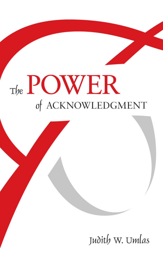# The **POWER**



Judith W. Umlas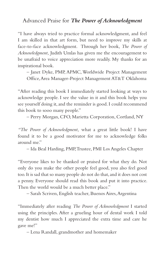#### Advanced Praise for *The Power of Acknowledgment*

"I have always tried to practice formal acknowledgment, and feel I am skilled in that art form, but need to improve my skills at face-to-face acknowledgment. Through her book, *The Power of Acknowledgment,* Judith Umlas has given me the encouragement to be unafraid to voice appreciation more readily. My thanks for an inspirational book.

– Janet Dyke, PMP, APMC, Worldwide Project Management Office, Area Manager-Project Management AT&T Oklahoma

"After reading this book I immediately started looking at ways to acknowledge people. I see the value in it and this book helps you see yourself doing it, and the reminder is good. I could recommend this book to sooo many people."

– Perry Morgan, CFO, Marietta Corporation, Cortland, NY

*"The Power of Acknowledgment,* what a great little book! I have found it to be a good motivator for me to acknowledge folks around me."

– Ida Beal Harding, PMP, Trustee, PMI Los Angeles Chapter

"Everyone likes to be thanked or praised for what they do. Not only do you make the other people feel good, you also feel good too. It is sad that so many people do not do that, and it does not cost a penny. Everyone should read this book and put it into practice. Then the world would be a much better place."

– Sarah Scriven, English teacher, Buenos Aires, Argentina

"Immediately after reading *The Power of Acknowledgment* I started using the principles. After a grueling hour of dental work I told my dentist how much I appreciated the extra time and care he gave me!"

– Lena Randall, grandmother and homemaker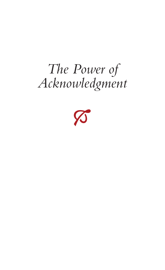## *The Power of Acknowledgment*

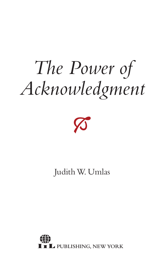## *The Power of Acknowledgment*



### Judith W. Umlas

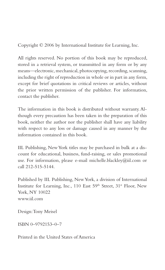Copyright © 2006 by International Institute for Learning, Inc.

All rights reserved. No portion of this book may be reproduced, stored in a retrieval system, or transmitted in any form or by any means—electronic, mechanical, photocopying, recording, scanning, including the right of reproduction in whole or in part in any form, except for brief quotations in critical reviews or articles, without the prior written permission of the publisher. For information, contact the publisher.

The information in this book is distributed without warranty. Although every precaution has been taken in the preparation of this book, neither the author nor the publisher shall have any liability with respect to any loss or damage caused in any manner by the information contained in this book.

IIL Publishing, New York titles may be purchased in bulk at a discount for educational, business, fund-raising, or sales promotional use. For information, please e-mail michelle.blackley@iil.com or call 212-515-5144.

Published by IIL Publishing, New York, a division of International Institute for Learning, Inc., 110 East  $59<sup>th</sup>$  Street,  $31<sup>st</sup>$  Floor, New York, NY 10022 <www.iil.com>

Design: Tony Meisel

ISBN 0–9792153–0–7

Printed in the United States of America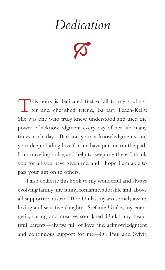### *Dedication*



This book is dedicated first of all to my soul sis-<br>ter and cherished friend, Barbara Leach-Kelly. She was one who truly knew, understood and used the power of acknowledgment every day of her life, many times each day. Barbara, your acknowledgments and your deep, abiding love for me have put me on the path I am traveling today, and help to keep me there. I thank you for all you have given me, and I hope I am able to pass your gift on to others.

I also dedicate this book to my wonderful and always evolving family: my funny, romantic, adorable and, above all, supportive husband Bob Umlas; my awesomely aware, loving and sensitive daughter, Stefanie Umlas; my energetic, caring and creative son, Jared Umlas; my beautiful parents—always full of love and acknowledgment and continuous support for me—Dr. Paul and Sylvia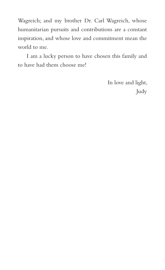Wagreich; and my brother Dr. Carl Wagreich, whose humanitarian pursuits and contributions are a constant inspiration, and whose love and commitment mean the world to me.

I am a lucky person to have chosen this family and to have had them choose me!

> In love and light, Judy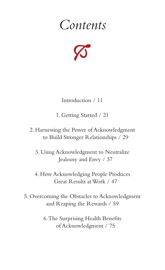## <span id="page-9-0"></span>*Contents*



[Introduction / 11](#page-11-0) 

[1. Getting Started / 21](#page-21-0)

[2. Harnessing the Power of Acknowledgment](#page-29-0) to Build Stronger Relationships / 29

[3. Using Acknowledgment to Neutralize](#page-37-0)  Jealousy and Envy / 37

[4. How Acknowledging People Produces](#page-47-0)  Great Results at Work / 47

[5. Overcoming the Obstacles to Acknowledgment](#page-59-0) and Reaping the Rewards / 59

> [6. The Surprising Health Benefits](#page-75-0)  of Acknowledgment / 75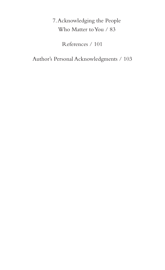#### [7. Acknowledging the People](#page-83-0) Who Matter to You / 83

[References / 101](#page-101-0)

[Author's Personal Acknowledgments / 103](#page-103-0)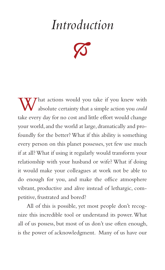### <span id="page-11-0"></span>*[Introduction](#page-9-0)*



What actions would you take if you knew with absolute certainty that a simple action you *could* take every day for no cost and little effort would change your world, and the world at large, dramatically and profoundly for the better? What if this ability is something every person on this planet possesses, yet few use much if at all? What if using it regularly would transform your relationship with your husband or wife? What if doing it would make your colleagues at work not be able to do enough for you, and make the office atmosphere vibrant, productive and alive instead of lethargic, competitive, frustrated and bored?

All of this is possible, yet most people don't recognize this incredible tool or understand its power. What all of us possess, but most of us don't use often enough, is the power of acknowledgment. Many of us have our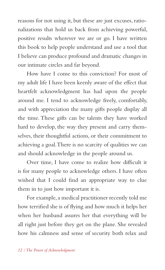reasons for not using it, but these are just excuses, rationalizations that hold us back from achieving powerful, positive results wherever we are or go. I have written this book to help people understand and use a tool that I believe can produce profound and dramatic changes in our intimate circles and far beyond.

How have I come to this conviction? For most of my adult life I have been keenly aware of the effect that heartfelt acknowledgment has had upon the people around me. I tend to acknowledge freely, comfortably, and with appreciation the many gifts people display all the time. These gifts can be talents they have worked hard to develop, the way they present and carry themselves, their thoughtful actions, or their commitment to achieving a goal. There is no scarcity of qualities we can and should acknowledge in the people around us.

Over time, I have come to realize how difficult it is for many people to acknowledge others. I have often wished that I could find an appropriate way to clue them in to just how important it is.

For example, a medical practitioner recently told me how terrified she is of flying and how much it helps her when her husband assures her that everything will be all right just before they get on the plane. She revealed how his calmness and sense of security both relax and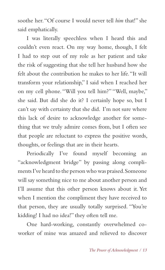soothe her. "Of course I would never tell *him* that!" she said emphatically.

I was literally speechless when I heard this and couldn't even react. On my way home, though, I felt I had to step out of my role as her patient and take the risk of suggesting that she tell her husband how she felt about the contribution he makes to her life. "It will transform your relationship," I said when I reached her on my cell phone. "Will you tell him?" "Well, maybe," she said. But did she do it? I certainly hope so, but I can't say with certainty that she did. I'm not sure where this lack of desire to acknowledge another for something that we truly admire comes from, but I often see that people are reluctant to express the positive words, thoughts, or feelings that are in their hearts.

Periodically I've found myself becoming an "acknowledgment bridge" by passing along compliments I've heard to the person who was praised. Someone will say something nice to me about another person and I'll assume that this other person knows about it. Yet when I mention the compliment they have received to that person, they are usually totally surprised. "You're kidding! I had no idea!" they often tell me.

One hard-working, constantly overwhelmed coworker of mine was amazed and relieved to discover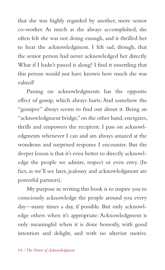that she was highly regarded by another, more senior co-worker. As much as she always accomplished, she often felt she was not doing enough, and it thrilled her to hear the acknowledgment. I felt sad, though, that the senior person had never acknowledged her directly. What if I hadn't passed it along? I find it unsettling that this person would not have known how much she was valued!

Passing on acknowledgments has the opposite effect of gossip, which always hurts. And somehow the "gossipee" always seems to find out about it. Being an "acknowledgment bridge," on the other hand, energizes, thrills and empowers the recipient. I pass on acknowledgments whenever I can and am always amazed at the wondrous and surprised response I encounter. But the deeper lesson is that it's even better to directly acknowledge the people we admire, respect or even envy. (In fact, as we'll see later, jealousy and acknowledgment are powerful partners).

My purpose in writing this book is to inspire you to consciously acknowledge the people around you every day—many times a day, if possible. But only acknowledge others when it's appropriate: Acknowledgment is only meaningful when it is done honestly, with good intention and delight, and with no ulterior motive.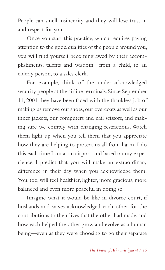People can smell insincerity and they will lose trust in and respect for you.

Once you start this practice, which requires paying attention to the good qualities of the people around you, you will find yourself becoming awed by their accomplishments, talents and wisdom—from a child, to an elderly person, to a sales clerk.

For example, think of the under-acknowledged security people at the airline terminals. Since September 11, 2001 they have been faced with the thankless job of making us remove our shoes, our overcoats as well as our inner jackets, our computers and nail scissors, and making sure we comply with changing restrictions. Watch them light up when you tell them that you appreciate how they are helping to protect us all from harm. I do this each time I am at an airport, and based on my experience, I predict that you will make an extraordinary difference in their day when you acknowledge them! You, too, will feel healthier, lighter, more gracious, more balanced and even more peaceful in doing so.

Imagine what it would be like in divorce court, if husbands and wives acknowledged each other for the contributions to their lives that the other had made, and how each helped the other grow and evolve as a human being—even as they were choosing to go their separate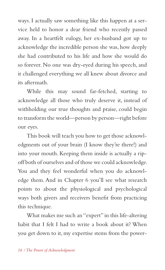ways. I actually saw something like this happen at a service held to honor a dear friend who recently passed away. In a heartfelt eulogy, her ex-husband got up to acknowledge the incredible person she was, how deeply she had contributed to his life and how she would do so forever. No one was dry-eyed during his speech, and it challenged everything we all knew about divorce and its aftermath.

While this may sound far-fetched, starting to acknowledge all those who truly deserve it, instead of withholding our true thoughts and praise, could begin to transform the world—person by person—right before our eyes.

This book will teach you how to get those acknowledgments out of your brain (I know they're there!) and into your mouth. Keeping them inside is actually a ripoff both of ourselves and of those we could acknowledge. You and they feel wonderful when you do acknowledge them. And in Chapter 6 you'll see what research points to about the physiological and psychological ways both givers and receivers benefit from practicing this technique.

What makes me such an "expert" in this life-altering habit that I felt I had to write a book about it? When you get down to it, my expertise stems from the power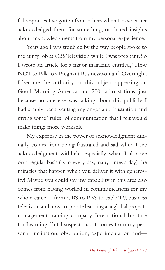ful responses I've gotten from others when I have either acknowledged them for something, or shared insights about acknowledgments from my personal experience.

Years ago I was troubled by the way people spoke to me at my job at CBS Television while I was pregnant. So I wrote an article for a major magazine entitled, "How NOT to Talk to a Pregnant Businesswoman." Overnight, I became the authority on this subject, appearing on Good Morning America and 200 radio stations, just because no one else was talking about this publicly. I had simply been venting my anger and frustration and giving some "rules" of communication that I felt would make things more workable.

My expertise in the power of acknowledgment similarly comes from being frustrated and sad when I see acknowledgment withheld, especially when I also see on a regular basis (as in every day, many times a day) the miracles that happen when you deliver it with generosity! Maybe you could say my capability in this area also comes from having worked in communications for my whole career—from CBS to PBS to cable TV, business television and now corporate learning at a global projectmanagement training company, International Institute for Learning. But I suspect that it comes from my personal inclination, observation, experimentation and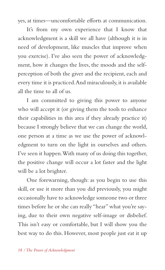yes, at times—uncomfortable efforts at communication.

It's from my own experience that I know that acknowledgment is a skill we all have (although it is in need of development, like muscles that improve when you exercise). I've also seen the power of acknowledgment, how it changes the lives, the moods and the selfperception of both the giver and the recipient, each and every time it is practiced. And miraculously, it is available all the time to all of us.

I am committed to giving this power to anyone who will accept it (or giving them the tools to enhance their capabilities in this area if they already practice it) because I strongly believe that we can change the world, one person at a time as we use the power of acknowledgment to turn on the light in ourselves and others. I've seen it happen. With many of us doing this together, the positive change will occur a lot faster and the light will be a lot brighter.

One forewarning, though: as you begin to use this skill, or use it more than you did previously, you might occasionally have to acknowledge someone two or three times before he or she can really "hear" what you're saying, due to their own negative self-image or disbelief. This isn't easy or comfortable, but I will show you the best way to do this. However, most people just eat it up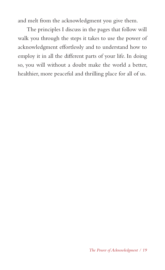and melt from the acknowledgment you give them.

The principles I discuss in the pages that follow will walk you through the steps it takes to use the power of acknowledgment effortlessly and to understand how to employ it in all the different parts of your life. In doing so, you will without a doubt make the world a better, healthier, more peaceful and thrilling place for all of us.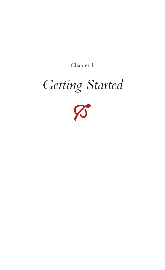Chapter 1

<span id="page-21-0"></span>

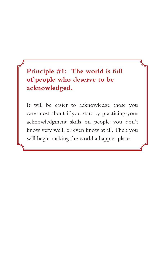### **Principle #1: The world is full of people who deserve to be acknowledged.**

It will be easier to acknowledge those you care most about if you start by practicing your acknowledgment skills on people you don't know very well, or even know at all. Then you will begin making the world a happier place.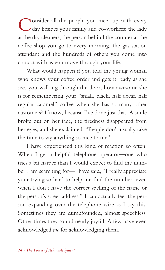Consider all the people you meet up with every day besides your family and co-workers: the lady at the dry cleaners, the person behind the counter at the coffee shop you go to every morning, the gas station attendant and the hundreds of others you come into contact with as you move through your life.

What would happen if you told the young woman who knows your coffee order and gets it ready as she sees you walking through the door, how awesome she is for remembering your "small, black, half decaf, half regular caramel" coffee when she has so many other customers? I know, because I've done just that: A smile broke out on her face, the tiredness disappeared from her eyes, and she exclaimed, "People don't usually take the time to say anything so nice to me!"

I have experienced this kind of reaction so often. When I get a helpful telephone operator—one who tries a bit harder than I would expect to find the number I am searching for—I have said, "I really appreciate your trying so hard to help me find the number, even when I don't have the correct spelling of the name or the person's street address!" I can actually feel the person expanding over the telephone wire as I say this. Sometimes they are dumbfounded, almost speechless. Other times they sound nearly joyful. A few have even acknowledged *me* for acknowledging them.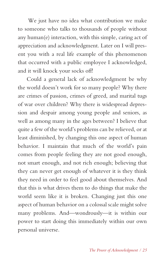We just have no idea what contribution we make to someone who talks to thousands of people without any human(e) interaction, with this simple, caring act of appreciation and acknowledgment. Later on I will present you with a real life example of this phenomenon that occurred with a public employee I acknowledged, and it will knock your socks off!

Could a general lack of acknowledgment be why the world doesn't work for so many people? Why there are crimes of passion, crimes of greed, and marital tugs of war over children? Why there is widespread depression and despair among young people and seniors, as well as among many in the ages between? I believe that quite a few of the world's problems can be relieved, or at least diminished, by changing this one aspect of human behavior. I maintain that much of the world's pain comes from people feeling they are not good enough, not smart enough, and not rich enough; believing that they can never get enough of whatever it is they think they need in order to feel good about themselves. And that this is what drives them to do things that make the world seem like it is broken. Changing just this one aspect of human behavior on a colossal scale might solve many problems. And—wondrously—it is within our power to start doing this immediately within our own personal universe.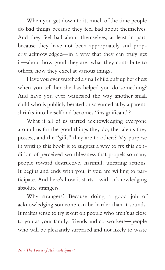When you get down to it, much of the time people do bad things because they feel bad about themselves. And they feel bad about themselves, at least in part, because they have not been appropriately and properly acknowledged—in a way that they can truly get it—about how good they are, what they contribute to others, how they excel at various things.

Have you ever watched a small child puff up her chest when you tell her she has helped you do something? And have you ever witnessed the way another small child who is publicly berated or screamed at by a parent, shrinks into herself and becomes "insignificant"?

What if all of us started acknowledging everyone around us for the good things they do, the talents they possess, and the "gifts" they are to others? My purpose in writing this book is to suggest a way to fix this condition of perceived worthlessness that propels so many people toward destructive, harmful, uncaring actions. It begins and ends with you, if you are willing to participate. And here's how it starts—with acknowledging absolute strangers.

Why strangers? Because doing a good job of acknowledging someone can be harder than it sounds. It makes sense to try it out on people who aren't as close to you as your family, friends and co-workers—people who will be pleasantly surprised and not likely to waste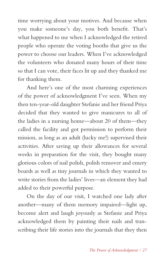time worrying about your motives. And because when you make someone's day, you both benefit. That's what happened to me when I acknowledged the retired people who operate the voting booths that give us the power to choose our leaders. When I've acknowledged the volunteers who donated many hours of their time so that I can vote, their faces lit up and they thanked me for thanking them.

And here's one of the most charming experiences of the power of acknowledgment I've seen. When my then ten-year-old daughter Stefanie and her friend Priya decided that they wanted to give manicures to all of the ladies in a nursing home—about 20 of them—they called the facility and got permission to perform their mission, as long as an adult (lucky me!) supervised their activities. After saving up their allowances for several weeks in preparation for the visit, they bought many glorious colors of nail polish, polish remover and emery boards as well as tiny journals in which they wanted to write stories from the ladies' lives—an element they had added to their powerful purpose.

On the day of our visit, I watched one lady after another—many of them memory impaired—light up, become alert and laugh joyously as Stefanie and Priya acknowledged them by painting their nails and transcribing their life stories into the journals that they then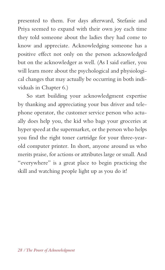presented to them. For days afterward, Stefanie and Priya seemed to expand with their own joy each time they told someone about the ladies they had come to know and appreciate. Acknowledging someone has a positive effect not only on the person acknowledged but on the acknowledger as well. (As I said earlier, you will learn more about the psychological and physiological changes that may actually be occurring in both individuals in Chapter 6.)

So start building your acknowledgment expertise by thanking and appreciating your bus driver and telephone operator, the customer service person who actually does help you, the kid who bags your groceries at hyper speed at the supermarket, or the person who helps you find the right toner cartridge for your three-yearold computer printer. In short, anyone around us who merits praise, for actions or attributes large or small. And "everywhere" is a great place to begin practicing the skill and watching people light up as you do it!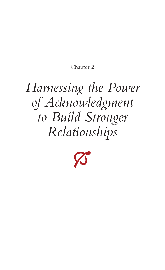Chapter 2

## <span id="page-29-0"></span>*[Harnessing the Power](#page-9-0)  of Acknowledgment to Build Stronger Relationships*

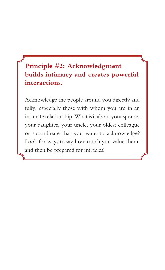### **Principle #2: Acknowledgment builds intimacy and creates powerful interactions.**

Acknowledge the people around you directly and fully, especially those with whom you are in an intimate relationship. What is it about your spouse, your daughter, your uncle, your oldest colleague or subordinate that you want to acknowledge? Look for ways to say how much you value them, and then be prepared for miracles!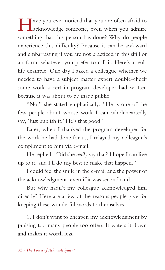Have you ever noticed that you are often afraid to acknowledge someone, even when you admire something that this person has done? Why do people experience this difficulty? Because it can be awkward and embarrassing if you are not practiced in this skill or art form, whatever you prefer to call it. Here's a reallife example: One day I asked a colleague whether we needed to have a subject matter expert double-check some work a certain program developer had written because it was about to be made public.

"No," she stated emphatically. "He is one of the few people about whose work I can wholeheartedly say, 'Just publish it.' He's that good!"

Later, when I thanked the program developer for the work he had done for us, I relayed my colleague's compliment to him via e-mail.

He replied, "Did she *really* say that? I hope I can live up to it, and I'll do my best to make that happen."

I could feel the smile in the e-mail and the power of the acknowledgment, even if it was secondhand.

But why hadn't my colleague acknowledged him directly? Here are a few of the reasons people give for keeping these wonderful words to themselves:

1. I don't want to cheapen my acknowledgment by praising too many people too often. It waters it down and makes it worth less.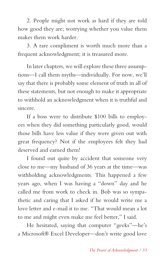2. People might not work as hard if they are told how good they are; worrying whether you value them makes them work harder.

3. A rare compliment is worth much more than a frequent acknowledgment; it is treasured more.

In later chapters, we will explore these three assumptions—I call them myths—individually. For now, we'll say that there is probably some element of truth in all of these statements, but not enough to make it appropriate to withhold an acknowledgment when it is truthful and sincere.

If a boss were to distribute \$100 bills to employees when they did something particularly good, would those bills have less value if they were given out with great frequency? Not if the employees felt they had deserved and earned them!

I found out quite by accident that someone very close to me—my husband of 36 years at the time—was withholding acknowledgments. This happened a few years ago, when I was having a "down" day and he called me from work to check in. Bob was so sympathetic and caring that I asked if he would write me a love letter and e-mail it to me. "That would mean a lot to me and might even make me feel better," I said.

He hesitated, saying that computer "geeks"—he's a Microsoft® Excel Developer—don't write good love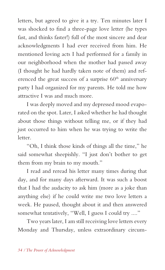letters, but agreed to give it a try. Ten minutes later I was shocked to find a three-page love letter (he types fast, and thinks faster!) full of the most sincere and dear acknowledgments I had ever received from him. He mentioned loving acts I had performed for a family in our neighborhood when the mother had passed away (I thought he had hardly taken note of them) and referenced the great success of a surprise  $60<sup>th</sup>$  anniversary party I had organized for my parents. He told me how attractive I was and much more.

I was deeply moved and my depressed mood evaporated on the spot. Later, I asked whether he had thought about those things without telling me, or if they had just occurred to him when he was trying to write the letter.

"Oh, I think those kinds of things all the time," he said somewhat sheepishly. "I just don't bother to get them from my brain to my mouth."

I read and reread his letter many times during that day, and for many days afterward. It was such a boost that I had the audacity to ask him (more as a joke than anything else) if he could write me two love letters a week. He paused, thought about it and then answered somewhat tentatively, "Well, I guess I could try ...."

Two years later, I am still receiving love letters every Monday and Thursday, unless extraordinary circum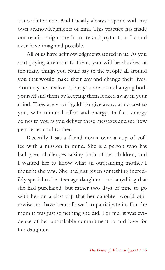stances intervene. And I nearly always respond with my own acknowledgments of him. This practice has made our relationship more intimate and joyful than I could ever have imagined possible.

All of us have acknowledgments stored in us. As you start paying attention to them, you will be shocked at the many things you could say to the people all around you that would make their day and change their lives. You may not realize it, but you are shortchanging both yourself and them by keeping them locked away in your mind. They are your "gold" to give away, at no cost to you, with minimal effort and energy. In fact, energy comes to you as you deliver these messages and see how people respond to them.

Recently I sat a friend down over a cup of coffee with a mission in mind. She is a person who has had great challenges raising both of her children, and I wanted her to know what an outstanding mother I thought she was. She had just given something incredibly special to her teenage daughter—not anything that she had purchased, but rather two days of time to go with her on a class trip that her daughter would otherwise not have been allowed to participate in. For the mom it was just something she did. For me, it was evidence of her unshakable commitment to and love for her daughter.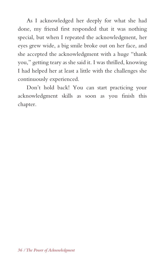As I acknowledged her deeply for what she had done, my friend first responded that it was nothing special, but when I repeated the acknowledgment, her eyes grew wide, a big smile broke out on her face, and she accepted the acknowledgment with a huge "thank you," getting teary as she said it. I was thrilled, knowing I had helped her at least a little with the challenges she continuously experienced.

Don't hold back! You can start practicing your acknowledgment skills as soon as you finish this chapter.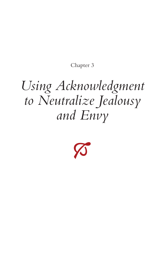Chapter 3

## *[Using Acknowledgment](#page-9-0) to Neutralize Jealousy and Envy*

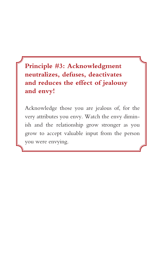### **Principle #3: Acknowledgment neutralizes, defuses, deactivates and reduces the effect of jealousy and envy!**

Acknowledge those you are jealous of, for the very attributes you envy. Watch the envy diminish and the relationship grow stronger as you grow to accept valuable input from the person you were envying.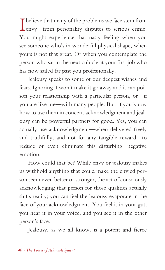I believe that many of the problems we face stem from<br>
envy—from personality disputes to serious crime. Thelieve that many of the problems we face stem from You might experience that nasty feeling when you see someone who's in wonderful physical shape, when yours is not that great. Or when you contemplate the person who sat in the next cubicle at your first job who has now sailed far past you professionally.

Jealousy speaks to some of our deepest wishes and fears. Ignoring it won't make it go away and it can poison your relationship with a particular person, or—if you are like me—with many people. But, if you know how to use them in concert, acknowledgment and jealousy can be powerful partners for good. Yes, you can actually use acknowledgment—when delivered freely and truthfully, and not for any tangible reward—to reduce or even eliminate this disturbing, negative emotion.

How could that be? While envy or jealousy makes us withhold anything that could make the envied person seem even better or stronger, the act of consciously acknowledging that person for those qualities actually shifts reality; you can feel the jealousy evaporate in the face of your acknowledgment. You feel it in your gut, you hear it in your voice, and you see it in the other person's face.

Jealousy, as we all know, is a potent and fierce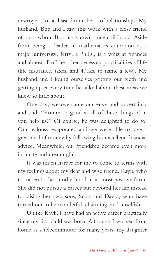destroyer—or at least diminisher—of relationships. My husband, Bob and I saw this work with a close friend of ours, whom Bob has known since childhood. Aside from being a leader in mathematics education at a major university, Jerry, a Ph.D., is a whiz at finances and almost all of the other necessary practicalities of life (life insurance, taxes, and 401ks, to name a few). My husband and I found ourselves gritting our teeth and getting upset every time he talked about these areas we knew so little about.

One day, we overcame our envy and uncertainty and said, "You're so good at all of these things. Can you help us?" Of course, he was delighted to do so. Our jealousy evaporated and we were able to save a great deal of money by following his excellent financial advice. Meanwhile, our friendship became even more intimate and meaningful.

It was much harder for me to come to terms with my feelings about my dear and wise friend, Kayli, who to me embodies motherhood in its most positive form. She did not pursue a career but devoted her life instead to raising her two sons, Scott and David, who have turned out to be wonderful, charming, and unselfish.

Unlike Kayli, I have had an active career practically since my first child was born. Although I worked from home as a telecommuter for many years, my daughter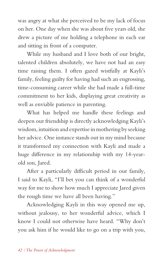was angry at what she perceived to be my lack of focus on her. One day when she was about five years old, she drew a picture of me holding a telephone in each ear and sitting in front of a computer.

While my husband and I love both of our bright, talented children absolutely, we have not had an easy time raising them. I often gazed wistfully at Kayli's family, feeling guilty for having had such an engrossing, time-consuming career while she had made a full-time commitment to her kids, displaying great creativity as well as enviable patience in parenting.

What has helped me handle these feelings and deepen our friendship is directly acknowledging Kayli's wisdom, intuition and expertise in mothering by seeking her advice. One instance stands out in my mind because it transformed my connection with Kayli and made a huge difference in my relationship with my 14-yearold son, Jared.

After a particularly difficult period in our family, I said to Kayli, "I'll bet you can think of a wonderful way for me to show how much I appreciate Jared given the rough time we have all been having."

Acknowledging Kayli in this way opened me up, without jealousy, to her wonderful advice, which I know I could not otherwise have heard. "Why don't you ask him if he would like to go on a trip with you,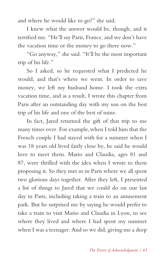and where he would like to go?" she said.

I knew what the answer would be, though, and it terrified me. "He'll say Paris, France, and we don't have the vacation time or the money to go there now."

"Go anyway," she said. "It'll be the most important trip of his life."

So I asked, so he requested what I predicted he would, and that's where we went. In order to save money, we left my husband home. I took the extra vacation time, and as a result, I wrote this chapter from Paris after an outstanding day with my son on the best trip of his life and one of the best of mine.

In fact, Jared returned the gift of that trip to me many times over. For example, when I told him that the French couple I had stayed with for a summer when I was 18 years old lived fairly close by, he said he would love to meet them. Mario and Claudia, ages 81 and 87, were thrilled with the idea when I wrote to them proposing it. So they met us in Paris where we all spent two glorious days together. After they left, I presented a list of things to Jared that we could do on our last day in Paris, including taking a train to an amusement park. But he surprised me by saying he would prefer to take a train to visit Mario and Claudia in Lyon, to see where they lived and where I had spent my summer when I was a teenager. And so we did, giving me a deep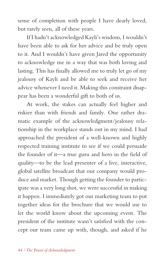sense of completion with people I have dearly loved, but rarely seen, all of these years.

If I hadn't acknowledged Kayli's wisdom, I wouldn't have been able to ask for her advice and be truly open to it. And I wouldn't have given Jared the opportunity to acknowledge me in a way that was both loving and lasting. This has finally allowed me to truly let go of my jealousy of Kayli and be able to seek and receive her advice whenever I need it. Making this constraint disappear has been a wonderful gift to both of us.

At work, the stakes can actually feel higher and riskier than with friends and family. One rather dramatic example of the acknowledgment/jealousy relationship in the workplace stands out in my mind. I had approached the president of a well-known and highly respected training institute to see if we could persuade the founder of it—a true guru and hero in the field of quality—to be the lead presenter of a live, interactive, global satellite broadcast that our company would produce and market. Though getting the founder to participate was a very long shot, we were successful in making it happen. I immediately got our marketing team to put together ideas for the brochure that we would use to let the world know about the upcoming event. The president of the institute wasn't satisfied with the concept our team came up with, though, and asked if he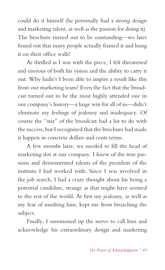could do it himself (he personally had a strong design and marketing talent, as well as the passion for doing it). The brochure turned out to be outstanding—we later found out that many people actually framed it and hung it on their office walls!

As thrilled as I was with the piece, I felt threatened and envious of both his vision and the ability to carry it out. Why hadn't I been able to inspire a result like this from our marketing team? Even the fact that the broadcast turned out to be the most highly attended one in our company's history—a huge win for all of us—didn't eliminate my feelings of jealousy and inadequacy. Of course the "star" of the broadcast had a lot to do with the success, but I recognized that the brochure had made it happen in concrete dollars and cents terms.

A few months later, we needed to fill the head of marketing slot at our company. I knew of the true passions and demonstrated talents of the president of the institute I had worked with. Since I was involved in the job search, I had a crazy thought about his being a potential candidate, strange as that might have seemed to the rest of the world. At first my jealousy, as well as my fear of insulting him, kept me from broaching the subject.

Finally, I summoned up the nerve to call him and acknowledge his extraordinary design and marketing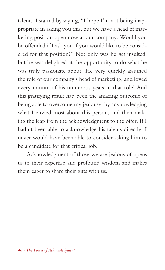talents. I started by saying, "I hope I'm not being inappropriate in asking you this, but we have a head of marketing position open now at our company. Would you be offended if I ask you if you would like to be considered for that position?" Not only was he *not* insulted, but he was delighted at the opportunity to do what he was truly passionate about. He very quickly assumed the role of our company's head of marketing, and loved every minute of his numerous years in that role! And this gratifying result had been the amazing outcome of being able to overcome my jealousy, by acknowledging what I envied most about this person, and then making the leap from the acknowledgment to the offer. If I hadn't been able to acknowledge his talents directly, I never would have been able to consider asking him to be a candidate for that critical job.

Acknowledgment of those we are jealous of opens us to their expertise and profound wisdom and makes them eager to share their gifts with us.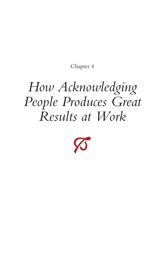Chapter 4

## *How Acknowledging [People Produces Great](#page-9-0)  Results at Work*

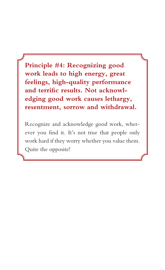**Principle #4: Recognizing good work leads to high energy, great feelings, high-quality performance and terrific results. Not acknowledging good work causes lethargy, resentment, sorrow and withdrawal.** 

Recognize and acknowledge good work, wherever you find it. It's not true that people only work hard if they worry whether you value them. Quite the opposite!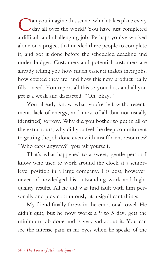Can you imagine this scene, which takes place every day all over the world? You have just completed a difficult and challenging job. Perhaps you've worked alone on a project that needed three people to complete it, and got it done before the scheduled deadline and under budget. Customers and potential customers are already telling you how much easier it makes their jobs, how excited they are, and how this new product really fills a need. You report all this to your boss and all you get is a weak and distracted, "Oh, okay."

You already know what you're left with: resentment, lack of energy, and most of all (but not usually identified) sorrow. Why did you bother to put in all of the extra hours, why did you feel the deep commitment to getting the job done even with insufficient resources? "Who cares anyway?" you ask yourself.

That's what happened to a sweet, gentle person I know who used to work around the clock at a seniorlevel position in a large company. His boss, however, never acknowledged his outstanding work and highquality results. All he did was find fault with him personally and pick continuously at insignificant things.

My friend finally threw in the emotional towel. He didn't quit, but he now works a 9 to 5 day, gets the minimum job done and is very sad about it. You can see the intense pain in his eyes when he speaks of the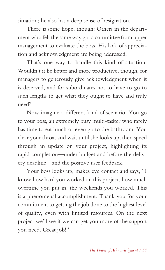situation; he also has a deep sense of resignation.

There is some hope, though: Others in the department who felt the same way got a committee from upper management to evaluate the boss. His lack of appreciation and acknowledgment are being addressed.

That's one way to handle this kind of situation. Wouldn't it be better and more productive, though, for managers to generously give acknowledgment when it is deserved, and for subordinates not to have to go to such lengths to get what they ought to have and truly need?

Now imagine a different kind of scenario: You go to your boss, an extremely busy multi-tasker who rarely has time to eat lunch or even go to the bathroom. You clear your throat and wait until she looks up, then speed through an update on your project, highlighting its rapid completion—under budget and before the delivery deadline—and the positive user feedback.

Your boss looks up, makes eye contact and says, "I know how hard you worked on this project, how much overtime you put in, the weekends you worked. This is a phenomenal accomplishment. Thank you for your commitment to getting the job done to the highest level of quality, even with limited resources. On the next project we'll see if we can get you more of the support you need. Great job!"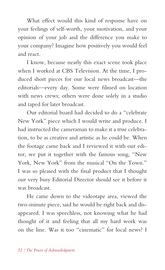What effect would this kind of response have on your feelings of self-worth, your motivation, and your opinion of your job and the difference you make to your company? Imagine how positively you would feel and react.

I know, because nearly this exact scene took place when I worked at CBS Television. At the time, I produced short pieces for our local news broadcast—the editorials—every day. Some were filmed on location with news crews; others were done solely in a studio and taped for later broadcast.

Our editorial board had decided to do a "celebrate New York" piece which I would write and produce. I had instructed the cameraman to make it a true celebration, to be as creative and artistic as he could be. When the footage came back and I reviewed it with our editor, we put it together with the famous song, "New York, New York" from the musical "On the Town." I was so pleased with the final product that I thought our very busy Editorial Director should see it before it was broadcast.

He came down to the videotape area, viewed the two-minute piece, said he would be right back and disappeared. I was speechless, not knowing what he had thought of it and feeling that all my hard work was on the line. Was it too "cinematic" for local news? I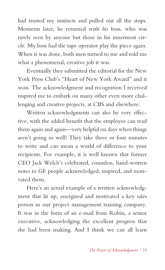had trusted my instincts and pulled out all the stops. Moments later, he returned with *his* boss, who was rarely seen by anyone but those in his innermost circle. My boss had the tape operator play the piece again. When it was done, both men turned to me and told me what a phenomenal, creative job it was.

Eventually they submitted the editorial for the New York Press Club's "Heart of New York Award" and it won. The acknowledgment and recognition I received inspired me to embark on many other even more challenging and creative projects, at CBS and elsewhere.

Written acknowledgments can also be very effective, with the added benefit that the employee can read them again and again—very helpful on days when things aren't going so well! They take three or four minutes to write and can mean a world of difference to your recipients. For example, it is well known that former CEO Jack Welch's celebrated, countless, hand-written notes to GE people acknowledged, inspired, and motivated them.

Here's an actual example of a written acknowledgment that lit up, energized and motivated a key sales person in our project management training company. It was in the form of an e-mail from Robin, a senior executive, acknowledging the excellent progress that she had been making. And I think we can all learn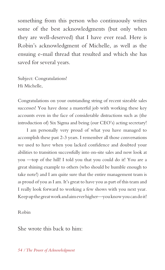something from this person who continuously writes some of the best acknowledgments (but only when they are well-deserved) that I have ever read. Here is Robin's acknowledgment of Michelle, as well as the ensuing e-mail thread that resulted and which she has saved for several years.

Subject: Congratulations! Hi Michelle,

Congratulations on your outstanding string of recent sizeable sales successes! You have done a masterful job with working these key accounts even in the face of considerable distractions such as (the introduction of) Six Sigma and being (our CEO's) acting secretary!

I am personally very proud of what you have managed to accomplish these past 2-3 years. I remember all those conversations we used to have when you lacked confidence and doubted your abilities to transition successfully into on-site sales and now look at you —top of the hill! I told you that you could do it! You are a great shining example to others (who should be humble enough to take note!) and I am quite sure that the entire management team is as proud of you as I am. It's great to have you as part of this team and I really look forward to working a few shows with you next year. Keep up the great work and aim ever higher—you know you can do it!

Robin

She wrote this back to him: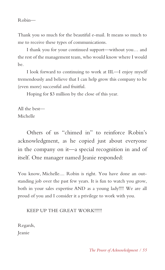#### Robin—

Thank you so much for the beautiful e-mail. It means so much to me to receive these types of communications.

I thank you for your continued support—without you… and the rest of the management team, who would know where I would be.

I look forward to continuing to work at IIL—I enjoy myself tremendously and believe that I can help grow this company to be (even more) successful and fruitful.

Hoping for \$3 million by the close of this year.

All the best— Michelle

Others of us "chimed in" to reinforce Robin's acknowledgment, as he copied just about everyone in the company on it—a special recognition in and of itself. One manager named Jeanie responded:

You know, Michelle.... Robin is right. You have done an outstanding job over the past few years. It is fun to watch you grow, both in your sales expertise AND as a young lady!!!! We are all proud of you and I consider it a privilege to work with you.

#### KEEP UP THE GREAT WORK!!!!!!

Regards, Jeanie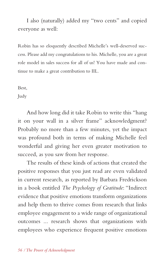I also (naturally) added my "two cents" and copied everyone as well:

Robin has so eloquently described Michelle's well-deserved success. Please add my congratulations to his. Michelle, you are a great role model in sales success for all of us! You have made and continue to make a great contribution to IIL.

Best,

Judy

And how long did it take Robin to write this "hang it on your wall in a silver frame" acknowledgment? Probably no more than a few minutes, yet the impact was profound both in terms of making Michelle feel wonderful and giving her even greater motivation to succeed, as you saw from her response.

The results of these kinds of actions that created the positive responses that you just read are even validated in current research, as reported by Barbara Fredrickson in a book entitled *The Psychology of Gratitude*: "Indirect evidence that positive emotions transform organizations and help them to thrive comes from research that links employee engagement to a wide range of organizational outcomes ... research shows that organizations with employees who experience frequent positive emotions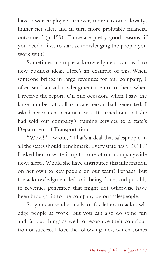have lower employee turnover, more customer loyalty, higher net sales, and in turn more profitable financial outcomes" (p. 159). Those are pretty good reasons, if you need a few, to start acknowledging the people you work with!

Sometimes a simple acknowledgment can lead to new business ideas. Here's an example of this. When someone brings in large revenues for our company, I often send an acknowledgment memo to them when I receive the report. On one occasion, when I saw the large number of dollars a salesperson had generated, I asked her which account it was. It turned out that she had sold our company's training services to a state's Department of Transportation.

"Wow!" I wrote, "That's a deal that salespeople in all the states should benchmark. Every state has a DOT!" I asked her to write it up for one of our companywide news alerts. Would she have distributed this information on her own to key people on our team? Perhaps. But the acknowledgment led to it being done, and possibly to revenues generated that might not otherwise have been brought in to the company by our salespeople.

So you can send e-mails, or fax letters to acknowledge people at work. But you can also do some fun and far-out things as well to recognize their contribution or success. I love the following idea, which comes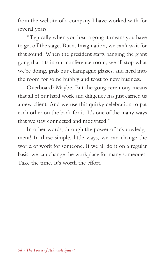from the website of a company I have worked with for several years:

"Typically when you hear a gong it means you have to get off the stage. But at Imagination, we can't wait for that sound. When the president starts banging the giant gong that sits in our conference room, we all stop what we're doing, grab our champagne glasses, and herd into the room for some bubbly and toast to new business.

Overboard? Maybe. But the gong ceremony means that all of our hard work and diligence has just earned us a new client. And we use this quirky celebration to pat each other on the back for it. It's one of the many ways that we stay connected and motivated."

In other words, through the power of acknowledgment! In these simple, little ways, we can change the world of work for someone. If we all do it on a regular basis, we can change the workplace for many someones! Take the time. It's worth the effort.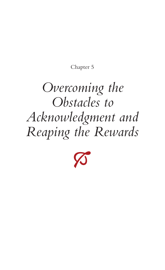Chapter 5

# *Overcoming the Obstacles to [Acknowledgment and](#page-9-0)  Reaping the Rewards*

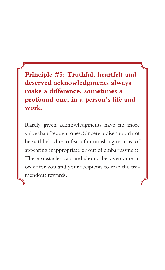**Principle #5: Truthful, heartfelt and deserved acknowledgments always make a difference, sometimes a profound one, in a person's life and work.**

Rarely given acknowledgments have no more value than frequent ones. Sincere praise should not be withheld due to fear of diminishing returns, of appearing inappropriate or out of embarrassment. These obstacles can and should be overcome in order for you and your recipients to reap the tremendous rewards.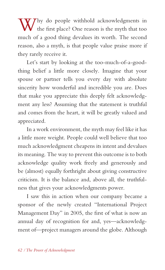Why do people withhold acknowledgments in the first place? One reason is the myth that too much of a good thing devalues its worth. The second reason, also a myth, is that people value praise more if they rarely receive it.

Let's start by looking at the too-much-of-a-goodthing belief a little more closely. Imagine that your spouse or partner tells you every day with absolute sincerity how wonderful and incredible you are. Does that make you appreciate this deeply felt acknowledgment any less? Assuming that the statement is truthful and comes from the heart, it will be greatly valued and appreciated.

In a work environment, the myth may feel like it has a little more weight. People could well believe that too much acknowledgment cheapens its intent and devalues its meaning. The way to prevent this outcome is to both acknowledge quality work freely and generously and be (almost) equally forthright about giving constructive criticism. It is the balance and, above all, the truthfulness that gives your acknowledgments power.

I saw this in action when our company became a sponsor of the newly created "International Project Management Day" in 2005, the first of what is now an annual day of recognition for and, yes—acknowledgment of—project managers around the globe. Although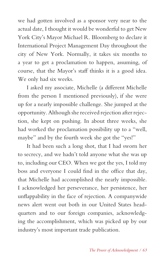we had gotten involved as a sponsor very near to the actual date, I thought it would be wonderful to get New York City's Mayor Michael R. Bloomberg to declare it International Project Management Day throughout the city of New York. Normally, it takes six months to a year to get a proclamation to happen, assuming, of course, that the Mayor's staff thinks it is a good idea. We only had six weeks.

I asked my associate, Michelle (a different Michelle from the person I mentioned previously), if she were up for a nearly impossible challenge. She jumped at the opportunity. Although she received rejection after rejection, she kept on pushing. In about three weeks, she had worked the proclamation possibility up to a "well, maybe" and by the fourth week she got the "yes!"

It had been such a long shot, that I had sworn her to secrecy, and we hadn't told anyone what she was up to, including our CEO. When we got the yes, I told my boss and everyone I could find in the office that day, that Michelle had accomplished the nearly impossible. I acknowledged her perseverance, her persistence, her unflappability in the face of rejection. A companywide news alert went out both in our United States headquarters and to our foreign companies, acknowledging the accomplishment, which was picked up by our industry's most important trade publication.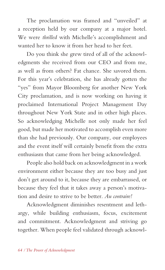The proclamation was framed and "unveiled" at a reception held by our company at a major hotel. We were *thrilled* with Michelle's accomplishment and wanted her to know it from her head to her feet.

Do you think she grew tired of all of the acknowledgments she received from our CEO and from me, as well as from others? Fat chance. She savored them. For this year's celebration, she has already gotten the "yes" from Mayor Bloomberg for another New York City proclamation, and is now working on having it proclaimed International Project Management Day throughout New York State and in other high places. So acknowledging Michelle not only made her feel good, but made her motivated to accomplish even more than she had previously. Our company, our employees and the event itself will certainly benefit from the extra enthusiasm that came from her being acknowledged.

People also hold back on acknowledgment in a work environment either because they are too busy and just don't get around to it, because they are embarrassed, or because they feel that it takes away a person's motivation and desire to strive to be better. *Au contraire!* 

Acknowledgment diminishes resentment and lethargy, while building enthusiasm, focus, excitement and commitment. Acknowledgment and striving go together. When people feel validated through acknowl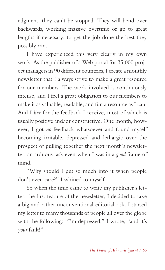edgment, they can't be stopped. They will bend over backwards, working massive overtime or go to great lengths if necessary, to get the job done the best they possibly can.

I have experienced this very clearly in my own work. As the publisher of a Web portal for 35,000 project managers in 90 different countries, I create a monthly newsletter that I always strive to make a great resource for our members. The work involved is continuously intense, and I feel a great obligation to our members to make it as valuable, readable, and fun a resource as I can. And I *live* for the feedback I receive, most of which is usually positive and/or constructive. One month, however, I got *no* feedback whatsoever and found myself becoming irritable, depressed and lethargic over the prospect of pulling together the next month's newsletter, an arduous task even when I was in a *good* frame of mind.

"Why should I put so much into it when people don't even care?" I whined to myself.

So when the time came to write my publisher's letter, the first feature of the newsletter, I decided to take a big and rather unconventional editorial risk. I started my letter to many thousands of people all over the globe with the following: "I'm depressed," I wrote, "and it's *your* fault!"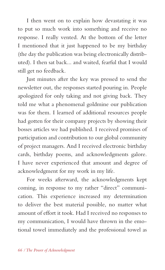I then went on to explain how devastating it was to put so much work into something and receive no response. I really vented. At the bottom of the letter I mentioned that it just happened to be my birthday (the day the publication was being electronically distributed). I then sat back... and waited, fearful that I would still get no feedback.

Just minutes after the key was pressed to send the newsletter out, the responses started pouring in. People apologized for only taking and not giving back. They told me what a phenomenal goldmine our publication was for them. I learned of additional resources people had gotten for their company projects by showing their bosses articles we had published. I received promises of participation and contribution to our global community of project managers. And I received electronic birthday cards, birthday poems, and acknowledgments galore. I have never experienced that amount and degree of acknowledgment for my work in my life.

For weeks afterward, the acknowledgments kept coming, in response to my rather "direct" communication. This experience increased my determination to deliver the best material possible, no matter what amount of effort it took. Had I received no responses to my communication, I would have thrown in the emotional towel immediately and the professional towel as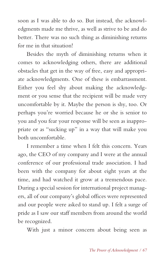soon as I was able to do so. But instead, the acknowledgments made me thrive, as well as strive to be and do better. There was no such thing as diminishing returns for me in that situation!

Besides the myth of diminishing returns when it comes to acknowledging others, there are additional obstacles that get in the way of free, easy and appropriate acknowledgments. One of these is embarrassment. Either you feel shy about making the acknowledgment or you sense that the recipient will be made very uncomfortable by it. Maybe the person is shy, too. Or perhaps you're worried because he or she is senior to you and you fear your response will be seen as inappropriate or as "sucking up" in a way that will make you both uncomfortable.

I remember a time when I felt this concern. Years ago, the CEO of my company and I were at the annual conference of our professional trade association. I had been with the company for about eight years at the time, and had watched it grow at a tremendous pace. During a special session for international project managers, all of our company's global offices were represented and our people were asked to stand up. I felt a surge of pride as I saw our staff members from around the world be recognized.

With just a minor concern about being seen as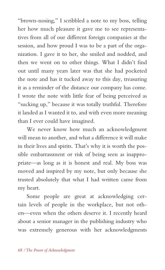"brown-nosing," I scribbled a note to my boss, telling her how much pleasure it gave me to see representatives from all of our different foreign companies at the session, and how proud I was to be a part of the organization. I gave it to her, she smiled and nodded, and then we went on to other things. What I didn't find out until many years later was that she had pocketed the note and has it tucked away to this day, treasuring it as a reminder of the distance our company has come. I wrote the note with little fear of being perceived as "sucking up," because it was totally truthful. Therefore it landed as I wanted it to, and with even more meaning than I ever could have imagined.

We never know how much an acknowledgment will mean to another, and what a difference it will make in their lives and spirits. That's why it is worth the possible embarrassment or risk of being seen as inappropriate—as long as it is honest and real. My boss was moved and inspired by my note, but only because she trusted absolutely that what I had written came from my heart.

Some people are great at acknowledging certain levels of people in the workplace, but not others—even when the others deserve it. I recently heard about a senior manager in the publishing industry who was extremely generous with her acknowledgments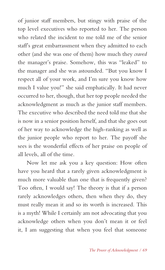of junior staff members, but stingy with praise of the top level executives who reported to her. The person who related the incident to me told me of the senior staff's great embarrassment when they admitted to each other (and she was one of them) how much they *craved* the manager's praise. Somehow, this was "leaked" to the manager and she was astounded. "But you know I respect all of your work, and I'm sure you know how much I value you!" she said emphatically. It had never occurred to her, though, that her top people needed the acknowledgment as much as the junior staff members. The executive who described the need told me that she is now in a senior position herself, and that she goes out of her way to acknowledge the high-ranking as well as the junior people who report to her. The payoff she sees is the wonderful effects of her praise on people of all levels, all of the time.

Now let me ask you a key question: How often have you heard that a rarely given acknowledgment is much more valuable than one that is frequently given? Too often, I would say! The theory is that if a person rarely acknowledges others, then when they do, they must really mean it and so its worth is increased. This is a myth! While I certainly am not advocating that you acknowledge others when you don't mean it or feel it, I am suggesting that when you feel that someone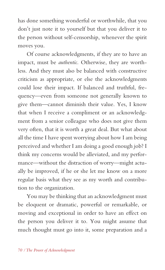has done something wonderful or worthwhile, that you don't just note it to yourself but that you deliver it to the person without self-censorship, whenever the spirit moves you.

Of course acknowledgments, if they are to have an impact, must be *authentic.* Otherwise, they are worthless. And they must also be balanced with constructive criticism as appropriate, or else the acknowledgments could lose their impact. If balanced and truthful, frequency—even from someone not generally known to give them—cannot diminish their value. Yes, I know that when I receive a compliment or an acknowledgment from a senior colleague who does not give them very often, that it is worth a great deal. But what about all the time I have spent worrying about how I am being perceived and whether I am doing a good enough job? I think my concerns would be alleviated, and my performance—without the distraction of worry—might actually be improved, if he or she let me know on a more regular basis what they see as my worth and contribution to the organization.

You may be thinking that an acknowledgment must be eloquent or dramatic, powerful or remarkable, or moving and exceptional in order to have an effect on the person you deliver it to. You might assume that much thought must go into it, some preparation and a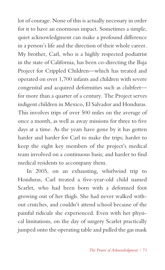lot of courage. None of this is actually necessary in order for it to have an enormous impact. Sometimes a simple, quiet acknowledgment can make a profound difference in a person's life and the direction of their whole career. My brother, Carl, who is a highly respected podiatrist in the state of California, has been co-directing the Baja Project for Crippled Children—which has treated and operated on over 1,700 infants and children with severe congenital and acquired deformities such as clubfeet for more than a quarter of a century. The Project serves indigent children in Mexico, El Salvador and Honduras. This involves trips of over 500 miles on the average of once a month, as well as away missions for three to five days at a time. As the years have gone by it has gotten harder and harder for Carl to make the trips; harder to keep the eight key members of the project's medical team involved on a continuous basis; and harder to find medical residents to accompany them.

In 2005, on an exhausting, whirlwind trip to Honduras, Carl treated a five-year-old child named Scarlet, who had been born with a deformed foot growing out of her thigh. She had never walked without crutches, and couldn't attend school because of the painful ridicule she experienced. Even with her physical limitations, on the day of surgery Scarlet practically jumped onto the operating table and pulled the gas mask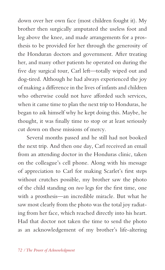down over her own face (most children fought it). My brother then surgically amputated the useless foot and leg above the knee, and made arrangements for a prosthesis to be provided for her through the generosity of the Honduran doctors and government. After treating her, and many other patients he operated on during the five day surgical tour, Carl left—totally wiped out and dog-tired. Although he had always experienced the joy of making a difference in the lives of infants and children who otherwise could not have afforded such services, when it came time to plan the next trip to Honduras, he began to ask himself why he kept doing this. Maybe, he thought, it was finally time to stop or at least seriously cut down on these missions of mercy.

Several months passed and he still had not booked the next trip. And then one day, Carl received an email from an attending doctor in the Honduras clinic, taken on the colleague's cell phone. Along with his message of appreciation to Carl for making Scarlet's first steps without crutches possible, my brother saw the photo of the child standing on *two* legs for the first time, one with a prosthesis—an incredible miracle. But what he saw most clearly from the photo was the total joy radiating from her face, which reached directly into his heart. Had that doctor not taken the time to send the photo as an acknowledgement of my brother's life-altering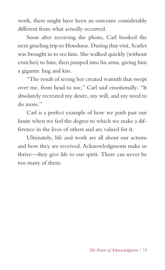work, there might have been an outcome considerably different from what actually occurred.

Soon after receiving the photo, Carl booked the next grueling trip to Honduras. During that visit, Scarlet was brought in to see him. She walked quickly (without crutches) to him, then jumped into his arms, giving him a gigantic hug and kiss.

"The result of seeing her created warmth that swept over me, from head to toe," Carl said emotionally. "It absolutely recreated my desire, my will, and my need to do more."

Carl is a perfect example of how we push past our limits when we feel the degree to which we make a difference in the lives of others and are valued for it.

Ultimately, life and work are all about our actions and how they are received. Acknowledgments make us thrive—they give life to our spirit. There can never be too many of them.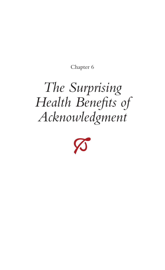Chapter 6

## *The Surprising [Health Benefits of](#page-9-0)  Acknowledgment*

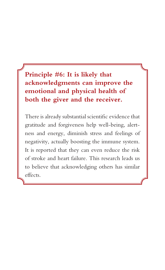**Principle #6: It is likely that acknowledgments can improve the emotional and physical health of both the giver and the receiver.** 

There is already substantial scientific evidence that gratitude and forgiveness help well-being, alertness and energy, diminish stress and feelings of negativity, actually boosting the immune system. It is reported that they can even reduce the risk of stroke and heart failure. This research leads us to believe that acknowledging others has similar effects.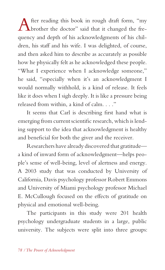After reading this book in rough draft form, "my brother the doctor" said that it changed the frequency and depth of his acknowledgments of his children, his staff and his wife. I was delighted, of course, and then asked him to describe as accurately as possible how he physically felt as he acknowledged these people. "What I experience when I acknowledge someone," he said, "especially when it's an acknowledgment I would normally withhold, is a kind of release. It feels like it does when I sigh deeply. It is like a pressure being released from within, a kind of calm. . . ."

It seems that Carl is describing first hand what is emerging from current scientific research, which is lending support to the idea that acknowledgment is healthy and beneficial for both the giver and the receiver.

Researchers have already discovered that gratitude a kind of inward form of acknowledgment—helps people's sense of well-being, level of alertness and energy. A 2003 study that was conducted by University of California, Davis psychology professor Robert Emmons and University of Miami psychology professor Michael E. McCullough focused on the effects of gratitude on physical and emotional well-being.

The participants in this study were 201 health psychology undergraduate students in a large, public university. The subjects were split into three groups: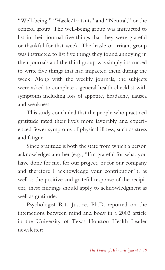"Well-being," "Hassle/Irritants" and "Neutral," or the control group. The well-being group was instructed to list in their journal five things that they were grateful or thankful for that week. The hassle or irritant group was instructed to list five things they found annoying in their journals and the third group was simply instructed to write five things that had impacted them during the week. Along with the weekly journals, the subjects were asked to complete a general health checklist with symptoms including loss of appetite, headache, nausea and weakness.

This study concluded that the people who practiced gratitude rated their live's more favorably and experienced fewer symptoms of physical illness, such as stress and fatigue.

Since gratitude is both the state from which a person acknowledges another (e.g., "I'm grateful for what you have done for me, for our project, or for our company and therefore I acknowledge your contribution"), as well as the positive and grateful response of the recipient, these findings should apply to acknowledgment as well as gratitude.

Psychologist Rita Justice, Ph.D. reported on the interactions between mind and body in a 2003 article in the University of Texas Houston Health Leader newsletter: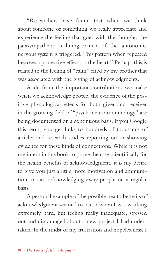"Researchers have found that when we think about someone or something we really appreciate and experience the feeling that goes with the thought, the parasympathetic—calming-branch of the autonomic nervous system is triggered. This pattern when repeated bestows a protective effect on the heart." Perhaps this is related to the feeling of "calm" cited by my brother that was associated with the giving of acknowledgments.

Aside from the important contributions we make when we acknowledge people, the evidence of the positive physiological effects for both giver and receiver in the growing field of "psychoneuroimmunology" are being documented on a continuous basis. If you Google this term, you get links to hundreds of thousands of articles and research studies reporting on or showing evidence for these kinds of connections. While it is not my intent in this book to prove the case scientifically for the health benefits of acknowledgment, it *is* my desire to give you just a little more motivation and ammunition to start acknowledging *many* people on a regular basis!

A personal example of the possible health benefits of acknowledgment seemed to occur when I was working extremely hard, but feeling really inadequate, stressed out and discouraged about a new project I had undertaken. In the midst of my frustration and hopelessness, I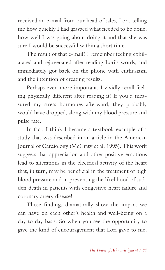received an e-mail from our head of sales, Lori, telling me how quickly I had grasped what needed to be done, how well I was going about doing it and that she was sure I would be successful within a short time.

The result of that e-mail? I remember feeling exhilarated and rejuvenated after reading Lori's words, and immediately got back on the phone with enthusiasm and the intention of creating results.

Perhaps even more important, I vividly recall feeling physically different after reading it! If you'd measured my stress hormones afterward, they probably would have dropped, along with my blood pressure and pulse rate.

In fact, I think I became a textbook example of a study that was described in an article in the American Journal of Cardiology (McCraty et al, 1995). This work suggests that appreciation and other positive emotions lead to alterations in the electrical activity of the heart that, in turn, may be beneficial in the treatment of high blood pressure and in preventing the likelihood of sudden death in patients with congestive heart failure and coronary artery disease!

Those findings dramatically show the impact we can have on each other's health and well-being on a day to day basis. So when you see the opportunity to give the kind of encouragement that Lori gave to me,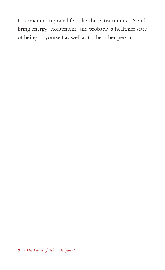to someone in your life, take the extra minute. You'll bring energy, excitement, and probably a healthier state of being to yourself as well as to the other person.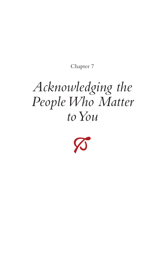Chapter 7

## *Acknowledging the [People Who Matter](#page-10-0)  to You*

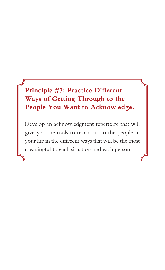### **Principle #7: Practice Different Ways of Getting Through to the People You Want to Acknowledge.**

Develop an acknowledgment repertoire that will give you the tools to reach out to the people in your life in the different ways that will be the most meaningful to each situation and each person.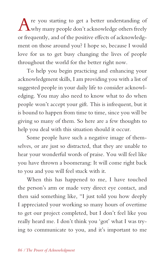Are you starting to get a better understanding of why many people don't acknowledge others freely or frequently, and of the positive effects of acknowledgment on those around you? I hope so, because I would love for us to get busy changing the lives of people throughout the world for the better right now.

To help you begin practicing and enhancing your acknowledgment skills, I am providing you with a list of suggested people in your daily life to consider acknowledging. You may also need to know what to do when people won't accept your gift. This is infrequent, but it is bound to happen from time to time, since you will be giving so many of them. So here are a few thoughts to help you deal with this situation should it occur.

Some people have such a negative image of themselves, or are just so distracted, that they are unable to hear your wonderful words of praise. You will feel like you have thrown a boomerang: It will come right back to you and you will feel stuck with it.

When this has happened to me, I have touched the person's arm or made very direct eye contact, and then said something like, "I just told you how deeply I appreciated your working so many hours of overtime to get our project completed, but I don't feel like you really heard me. I don't think you 'got' what I was trying to communicate to you, and it's important to me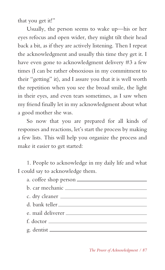that you get it!"

Usually, the person seems to wake up—his or her eyes refocus and open wider, they might tilt their head back a bit, as if they are actively listening. Then I repeat the acknowledgment and usually this time they get it. I have even gone to acknowledgment delivery #3 a few times (I can be rather obnoxious in my commitment to their "getting" it), and I assure you that it is well worth the repetition when you see the broad smile, the light in their eyes, and even tears sometimes, as I saw when my friend finally let in my acknowledgment about what a good mother she was.

So now that you are prepared for all kinds of responses and reactions, let's start the process by making a few lists. This will help you organize the process and make it easier to get started:

1. People to acknowledge in my daily life and what I could say to acknowledge them.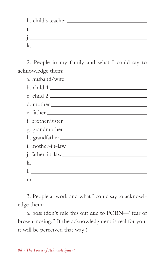|   | h. child's teacher___ |  |  |
|---|-----------------------|--|--|
|   |                       |  |  |
|   |                       |  |  |
|   |                       |  |  |
| k |                       |  |  |

2. People in my family and what I could say to acknowledge them:

| b. child 1                             |
|----------------------------------------|
| c. child $2 \overline{\qquad \qquad }$ |
|                                        |
|                                        |
|                                        |
|                                        |
|                                        |
|                                        |
|                                        |
| $k.$ $\overline{\phantom{a}}$          |
|                                        |
|                                        |

3. People at work and what I could say to acknowledge them:

a. boss (don't rule this out due to FOBN—"fear of brown-nosing." If the acknowledgment is real for you, it will be perceived that way.)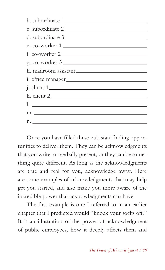| b. subordinate 1              |
|-------------------------------|
| c. subordinate 2              |
|                               |
| e. co-worker 1                |
| f. co-worker 2                |
| g. co-worker 3                |
| h. mailroom assistant         |
|                               |
| j. client 1                   |
|                               |
|                               |
| $m.$ $\overline{\phantom{m}}$ |
|                               |
|                               |

Once you have filled these out, start finding opportunities to deliver them. They can be acknowledgments that you write, or verbally present, or they can be something quite different. As long as the acknowledgments are true and real for you, acknowledge away. Here are some examples of acknowledgments that may help get you started, and also make you more aware of the incredible power that acknowledgments can have.

The first example is one I referred to in an earlier chapter that I predicted would "knock your socks off." It is an illustration of the power of acknowledgment of public employees, how it deeply affects them and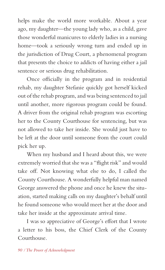helps make the world more workable. About a year ago, my daughter—the young lady who, as a child, gave those wonderful manicures to elderly ladies in a nursing home—took a seriously wrong turn and ended up in the jurisdiction of Drug Court, a phenomenal program that presents the choice to addicts of having either a jail sentence or serious drug rehabilitation.

Once officially in the program and in residential rehab, my daughter Stefanie quickly got herself kicked out of the rehab program, and was being sentenced to jail until another, more rigorous program could be found. A driver from the original rehab program was escorting her to the County Courthouse for sentencing, but was not allowed to take her inside. She would just have to be left at the door until someone from the court could pick her up.

When my husband and I heard about this, we were extremely worried that she was a "flight risk" and would take off. Not knowing what else to do, I called the County Courthouse. A wonderfully helpful man named George answered the phone and once he knew the situation, started making calls on my daughter's behalf until he found someone who would meet her at the door and take her inside at the approximate arrival time.

I was so appreciative of George's effort that I wrote a letter to his boss, the Chief Clerk of the County Courthouse.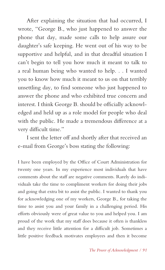After explaining the situation that had occurred, I wrote, "George B., who just happened to answer the phone that day, made some calls to help assure our daughter's safe keeping. He went out of his way to be supportive and helpful, and in that dreadful situation I can't begin to tell you how much it meant to talk to a real human being who wanted to help. . . I wanted you to know how much it meant to us on that terribly unsettling day, to find someone who just happened to answer the phone and who exhibited true concern and interest. I think George B. should be officially acknowledged and held up as a role model for people who deal with the public. He made a tremendous difference at a very difficult time."

I sent the letter off and shortly after that received an e-mail from George's boss stating the following:

I have been employed by the Office of Court Administration for twenty one years. In my experience most individuals that have comments about the staff are negative comments. Rarely do individuals take the time to compliment workers for doing their jobs and going that extra bit to assist the public. I wanted to thank you for acknowledging one of my workers, George B., for taking the time to assist you and your family in a challenging period. His efforts obviously were of great value to you and helped you. I am proud of the work that my staff does because it often is thankless and they receive little attention for a difficult job. Sometimes a little positive feedback motivates employees and then it become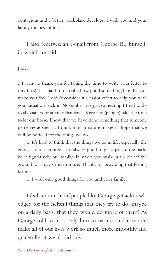contagious and a better workplace develops. I wish you and your family the best of luck…

I also received an e-mail from George B., himself, in which he said:

Judy,

...I want to thank you for taking the time to write your letter to (my boss). It is hard to describe how good something like that can make you feel. I didn't consider it a major effort to help you with your situation back in November; it's just something I tried to do to alleviate your anxiety that day ...Very few (people) take the time to let our bosses know that we have done something that someone perceives as special. I think human nature makes us hope that we will be noticed for the things we do.

... It's hard to think that the things we do in life, especially the good, is often ignored. It is always good to get a pat on the back, be it figuratively or literally. It makes you walk just a bit off the ground for a day or even more. Thanks for providing that feeling for me.

... I wish only good things for you and your family.

I feel certain that if people like George get acknowledged for the helpful things that they try to do, maybe on a daily basis, that they would do more of them! As George told us, it is only human nature, and it would make all of our lives work so much more smoothly and gracefully, if we all did this.

#### *92 / The Power of Acknowledgment*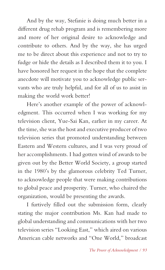And by the way, Stefanie is doing much better in a different drug rehab program and is remembering more and more of her original desire to acknowledge and contribute to others. And by the way, she has urged me to be direct about this experience and not to try to fudge or hide the details as I described them it to you. I have honored her request in the hope that the complete anecdote will motivate you to acknowledge public servants who are truly helpful, and for all of us to assist in making the world work better!

Here's another example of the power of acknowledgment. This occurred when I was working for my television client, Yue-Sai Kan, earlier in my career. At the time, she was the host and executive producer of two television series that promoted understanding between Eastern and Western cultures, and I was very proud of her accomplishments. I had gotten wind of awards to be given out by the Better World Society, a group started in the 1980's by the glamorous celebrity Ted Turner, to acknowledge people that were making contributions to global peace and prosperity. Turner, who chaired the organization, would be presenting the awards.

I furtively filled out the submission form, clearly stating the major contribution Ms. Kan had made to global understanding and communications with her two television series "Looking East," which aired on various American cable networks and "One World," broadcast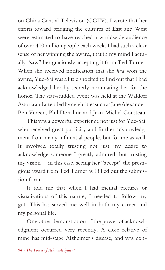on China Central Television (CCTV). I wrote that her efforts toward bridging the cultures of East and West were estimated to have reached a worldwide audience of over 400 million people each week. I had such a clear sense of her winning the award, that in my mind I actually "saw" her graciously accepting it from Ted Turner! When she received notification that she *had* won the award, Yue-Sai was a little shocked to find out that I had acknowledged her by secretly nominating her for the honor. The star-studded event was held at the Waldorf Astoria and attended by celebrities such as Jane Alexander, Ben Vereen, Phil Donahue and Jean-Michel Cousteau.

This was a powerful experience not just for Yue-Sai, who received great publicity and further acknowledgment from many influential people, but for me as well. It involved totally trusting not just my desire to acknowledge someone I greatly admired, but trusting my vision— in this case, seeing her "accept" the prestigious award from Ted Turner as I filled out the submission form.

It told me that when I had mental pictures or visualizations of this nature, I needed to follow my gut. This has served me well in both my career and my personal life.

One other demonstration of the power of acknowledgment occurred very recently. A close relative of mine has mid-stage Alzheimer's disease, and was con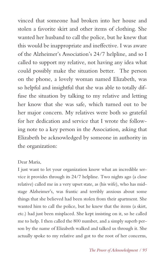vinced that someone had broken into her house and stolen a favorite skirt and other items of clothing. She wanted her husband to call the police, but he knew that this would be inappropriate and ineffective. I was aware of the Alzheimer's Association's 24/7 helpline, and so I called to support my relative, not having any idea what could possibly make the situation better. The person on the phone, a lovely woman named Elizabeth, was so helpful and insightful that she was able to totally diffuse the situation by talking to my relative and letting her know that she was safe, which turned out to be her major concern. My relatives were both so grateful for her dedication and service that I wrote the following note to a key person in the Association, asking that Elizabeth be acknowledged by someone in authority in the organization:

#### Dear Maria,

I just want to let your organization know what an incredible service it provides through its 24/7 helpline. Two nights ago (a close relative) called me in a very upset state, as (his wife), who has midstage Alzheimer's, was frantic and terribly anxious about some things that she believed had been stolen from their apartment. She wanted him to call the police, but he knew that the items (a skirt, etc.) had just been misplaced. She kept insisting on it, so he called me to help. I then called the 800 number, and a simply superb person by the name of Elizabeth walked and talked us through it. She actually spoke to my relative and got to the root of her concerns,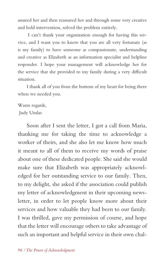assured her and then reassured her and through some very creative and bold intervention, solved the problem entirely.

I can't thank your organization enough for having this service, and I want you to know that you are all very fortunate (as is my family) to have someone as compassionate, understanding and creative as Elizabeth as an information specialist and helpline responder. I hope your management will acknowledge her for the service that she provided to my family during a very difficult situation.

I thank all of you from the bottom of my heart for being there when we needed you.

#### Warm regards,

Judy Umlas

Soon after I sent the letter, I got a call from Maria, thanking me for taking the time to acknowledge a worker of theirs, and she also let me know how much it meant to all of them to receive my words of praise about one of these dedicated people. She said she would make sure that Elizabeth was appropriately acknowledged for her outstanding service to our family. Then, to my delight, she asked if the association could publish my letter of acknowledgment in their upcoming newsletter, in order to let people know more about their services and how valuable they had been to our family. I was thrilled, gave my permission of course, and hope that the letter will encourage others to take advantage of such an important and helpful service in their own chal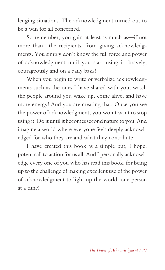lenging situations. The acknowledgment turned out to be a win for all concerned.

So remember, you gain at least as much as—if not more than—the recipients, from giving acknowledgments. You simply don't know the full force and power of acknowledgment until you start using it, bravely, courageously and on a daily basis!

When you begin to write or verbalize acknowledgments such as the ones I have shared with you, watch the people around you wake up, come alive, and have more energy! And you are creating that. Once you see the power of acknowledgment, you won't want to stop using it. Do it until it becomes second nature to you. And imagine a world where everyone feels deeply acknowledged for who they are and what they contribute.

I have created this book as a simple but, I hope, potent call to action for us all. And I personally acknowledge every one of you who has read this book, for being up to the challenge of making excellent use of the power of acknowledgment to light up the world, one person at a time!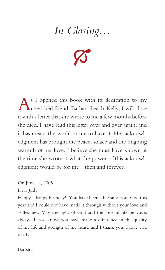### *In Closing…*



As I opened this book with its dedication to my cherished friend, Barbara Leach-Kelly, I will close it with a letter that she wrote to me a few months before she died. I have read this letter over and over again, and it has meant the world to me to have it. Her acknowledgment has brought me peace, solace and the ongoing warmth of her love. I believe she must have known at the time she wrote it what the power of this acknowledgment would be for me—then and forever.

On June 14, 2005

Dear Judy,

Happy…happy birthday!! You have been a blessing from God this year and I could not have made it through without your love and selflessness. May the light of God and the love of life be yours always. Please know you have made a difference in the quality of my life and strength of my heart, and I thank you. I love you dearly.

Barbara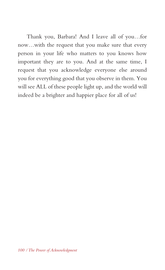Thank you, Barbara! And I leave all of you…for now…with the request that you make sure that every person in your life who matters to you knows how important they are to you. And at the same time, I request that you acknowledge everyone else around you for everything good that you observe in them. You will see ALL of these people light up, and the world will indeed be a brighter and happier place for all of us!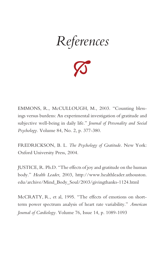# *[References](#page-10-0)*



EMMONS, R., McCULLOUGH, M., 2003. "Counting blessings versus burdens: An experimental investigation of gratitude and subjective well-being in daily life." *Journal of Personality and Social Psychology.* Volume 84, No. 2, p. 377-380.

FREDRICKSON, B. L. *The Psychology of Gratitude*. New York: Oxford University Press, 2004.

JUSTICE, R. Ph.D. "The effects of joy and gratitude on the human body." *Health Leader*, 2003*,* [http://www.healthleader.uthouston.](http://www.healthleader.uthouston.edu/archive/Mind_Body_Soul/2003/givingthanks-1124.html) [edu/archive/Mind\\_Body\\_Soul/2003/givingthanks-1124.html](http://www.healthleader.uthouston.edu/archive/Mind_Body_Soul/2003/givingthanks-1124.html)

McCRATY, R., et al, 1995. "The effects of emotions on shortterm power spectrum analysis of heart rate variability." *American Journal of Cardiology.* Volume 76, Issue 14, p. 1089-1093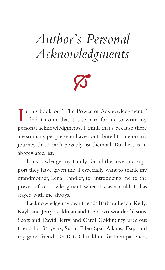## *[Author's Personal](#page-10-0)  Acknowledgments*



In this book on "The Power of Acknowledgment,"<br>I find it ironic that it is so hard for me to write my I find it ironic that it is so hard for me to write my personal acknowledgments. I think that's because there are so many people who have contributed to me on my journey that I can't possibly list them all. But here is an abbreviated list.

I acknowledge my family for all the love and support they have given me. I especially want to thank my grandmother, Lena Handler, for introducing me to the power of acknowledgment when I was a child. It has stayed with me always.

I acknowledge my dear friends Barbara Leach-Kelly; Kayli and Jerry Goldman and their two wonderful sons, Scott and David; Jerry and Carol Goldin; my precious friend for 34 years, Susan Ellen Spar Adams, Esq.; and my good friend, Dr. Rita Ghiraldini, for their patience,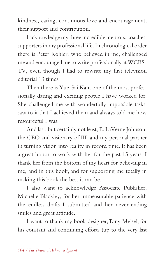kindness, caring, continuous love and encouragement, their support and contribution.

I acknowledge my three incredible mentors, coaches, supporters in my professional life. In chronological order there is Peter Kohler, who believed in me, challenged me and encouraged me to write professionally at WCBS-TV, even though I had to rewrite my first television editorial 13 times!

Then there is Yue-Sai Kan, one of the most professionally daring and exciting people I have worked for. She challenged me with wonderfully impossible tasks, saw to it that I achieved them and always told me how resourceful I was.

And last, but certainly not least, E. LaVerne Johnson, the CEO and visionary of IIL and my personal partner in turning vision into reality in record time. It has been a great honor to work with her for the past 15 years. I thank her from the bottom of my heart for believing in me, and in this book, and for supporting me totally in making this book the best it can be.

I also want to acknowledge Associate Publisher, Michelle Blackley, for her immeasurable patience with the endless drafts I submitted and her never-ending smiles and great attitude.

I want to thank my book designer, Tony Meisel, for his constant and continuing efforts (up to the very last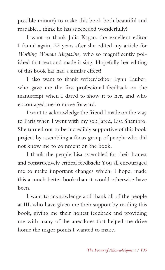possible minute) to make this book both beautiful and readable. I think he has succeeded wonderfully!

I want to thank Julia Kagan, the excellent editor I found again, 22 years after she edited my article for *Working Woman Magazine,* who so magnificently polished that text and made it sing! Hopefully her editing of this book has had a similar effect!

I also want to thank writer/editor Lynn Lauber, who gave me the first professional feedback on the manuscript when I dared to show it to her, and who encouraged me to move forward.

I want to acknowledge the friend I made on the way to Paris when I went with my son Jared, Lisa Shambro. She turned out to be incredibly supportive of this book project by assembling a focus group of people who did not know me to comment on the book.

I thank the people Lisa assembled for their honest and constructively critical feedback: You all encouraged me to make important changes which, I hope, made this a much better book than it would otherwise have been.

I want to acknowledge and thank all of the people at IIL who have given me their support by reading this book, giving me their honest feedback and providing me with many of the anecdotes that helped me drive home the major points I wanted to make.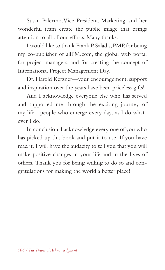Susan Palermo, Vice President, Marketing, and her wonderful team create the public image that brings attention to all of our efforts. Many thanks.

I would like to thank Frank P. Saladis, PMP, for being my co-publisher of allPM.com, the global web portal for project managers, and for creating the concept of International Project Management Day.

Dr. Harold Kerzner—your encouragement, support and inspiration over the years have been priceless gifts!

And I acknowledge everyone else who has served and supported me through the exciting journey of my life—people who emerge every day, as I do whatever I do.

In conclusion, I acknowledge every one of you who has picked up this book and put it to use. If you have read it, I will have the audacity to tell you that you will make positive changes in your life and in the lives of others. Thank you for being willing to do so and congratulations for making the world a better place!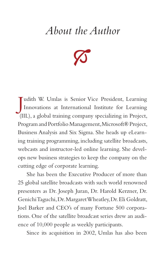### *About the Author*



Judith W. Umlas is Senior Vice President, Learning<br>Innovations at International Institute for Learning udith W. Umlas is Senior Vice President, Learning (IIL), a global training company specializing in Project, Program and Portfolio Management, Microsoft® Project, Business Analysis and Six Sigma. She heads up eLearning training programming, including satellite broadcasts, webcasts and instructor-led online learning. She develops new business strategies to keep the company on the cutting edge of corporate learning.

She has been the Executive Producer of more than 25 global satellite broadcasts with such world renowned presenters as Dr. Joseph Juran, Dr. Harold Kerzner, Dr. Genichi Taguchi, Dr. Margaret Wheatley, Dr. Eli Goldratt, Joel Barker and CEO's of many Fortune 500 corporations. One of the satellite broadcast series drew an audience of 10,000 people as weekly participants.

Since its acquisition in 2002, Umlas has also been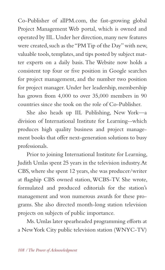Co-Publisher of allPM.com, the fast-growing global Project Management Web portal, which is owned and operated by IIL. Under her direction, many new features were created, such as the "PM Tip of the Day" with new, valuable tools, templates, and tips posted by subject matter experts on a daily basis. The Website now holds a consistent top four or five position in Google searches for project management, and the number two position for project manager. Under her leadership, membership has grown from 4,000 to over 35,000 members in 90 countries since she took on the role of Co-Publisher.

She also heads up IIL Publishing, New York—a division of International Institute for Learning--which produces high quality business and project management books that offer next-generation solutions to busy professionals.

Prior to joining International Institute for Learning, Judith Umlas spent 25 years in the television industry. At CBS, where she spent 12 years, she was producer/writer at flagship CBS owned station, WCBS-TV. She wrote, formulated and produced editorials for the station's management and won numerous awards for these programs. She also directed month-long station television projects on subjects of public importance.

Ms. Umlas later spearheaded programming efforts at a New York City public television station (WNYC-TV)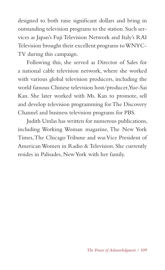designed to both raise significant dollars and bring in outstanding television programs to the station. Such services as Japan's Fuji Television Network and Italy's RAI Television brought their excellent programs to WNYC-TV during this campaign.

Following this, she served as Director of Sales for a national cable television network, where she worked with various global television producers, including the world famous Chinese television host/producer, Yue-Sai Kan. She later worked with Ms. Kan to promote, sell and develop television programming for The Discovery Channel and business television programs for PBS.

Judith Umlas has written for numerous publications, including Working Woman magazine, The New York Times, The Chicago Tribune and was Vice President of American Women in Radio & Television. She currently resides in Palisades, New York with her family.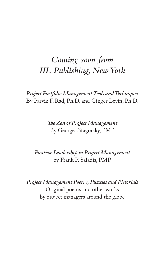## *Coming soon from IIL Publishing, New York*

*Project Portfolio Management Tools and Techniques* By Parviz F. Rad, Ph.D. and Ginger Levin, Ph.D.

> *The Zen of Project Management* By George Pitagorsky, PMP

*Positive Leadership in Project Management* by Frank P. Saladis, PMP

*Project Management Poetry, Puzzles and Pictorials* Original poems and other works by project managers around the globe